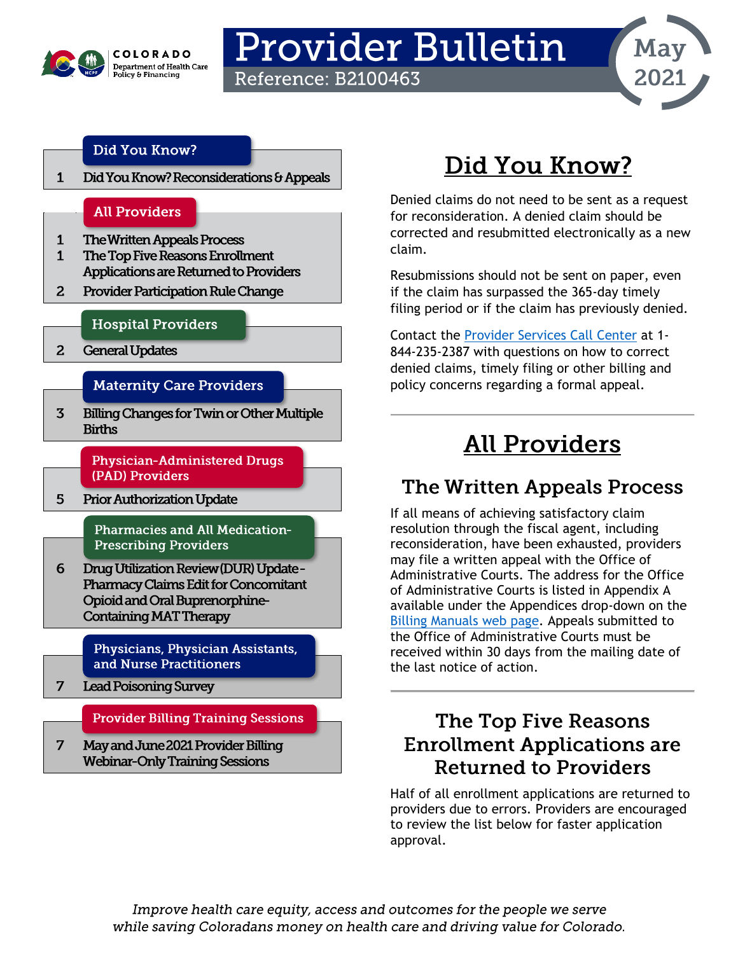

## **Provider Bulletin Reference: B2100463**



### Did You Know?

Did You Know? Reconsiderations & Appeals  $\mathbf{1}$ 

### **All Providers**

- $\mathbf{1}$ **The Written Appeals Process**
- The Top Five Reasons Enrollment  $\mathbf{1}$ Applications are Returned to Providers
- Provider Participation Rule Change  $\overline{a}$

### **Hospital Providers**

 $2<sup>1</sup>$ **General Updates** 

### **Maternity Care Providers**

**Billing Changes for Twin or Other Multiple**  $\overline{3}$ **Births** 

> **Physician-Administered Drugs** (PAD) Providers

5 **Prior Authorization Update** 

> Pharmacies and All Medication-**Prescribing Providers**

6 Drug Utilization Review (DUR) Update -**Pharmacy Claims Edit for Concomitant** Opioid and Oral Buprenorphine-**Containing MAT Therapy** 

> Physicians, Physician Assistants, and Nurse Practitioners

 $\overline{7}$ **Lead Poisoning Survey** 

**Provider Billing Training Sessions** 

7 May and June 2021 Provider Billing **Webinar-Only Training Sessions** 

# Did You Know?

Denied claims do not need to be sent as a request for reconsideration. A denied claim should be corrected and resubmitted electronically as a new claim.

Resubmissions should not be sent on paper, even if the claim has surpassed the 365-day timely filing period or if the claim has previously denied.

Contact the Provider Services Call Center at 1-844-235-2387 with questions on how to correct denied claims, timely filing or other billing and policy concerns regarding a formal appeal.

# **All Providers**

## **The Written Appeals Process**

If all means of achieving satisfactory claim resolution through the fiscal agent, including reconsideration, have been exhausted, providers may file a written appeal with the Office of Administrative Courts. The address for the Office of Administrative Courts is listed in Appendix A available under the Appendices drop-down on the Billing Manuals web page. Appeals submitted to the Office of Administrative Courts must be received within 30 days from the mailing date of the last notice of action.

## The Top Five Reasons **Enrollment Applications are Returned to Providers**

Half of all enrollment applications are returned to providers due to errors. Providers are encouraged to review the list below for faster application approval.

Improve health care equity, access and outcomes for the people we serve while saving Coloradans money on health care and driving value for Colorado.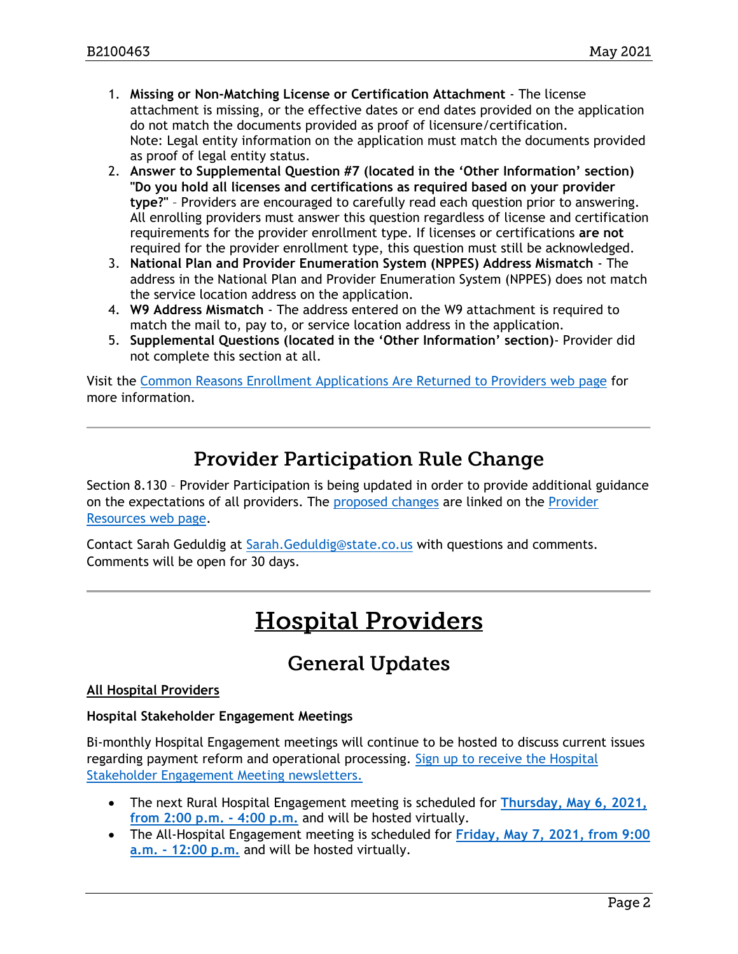- 1. **Missing or Non-Matching License or Certification Attachment** The license attachment is missing, or the effective dates or end dates provided on the application do not match the documents provided as proof of licensure/certification. Note: Legal entity information on the application must match the documents provided as proof of legal entity status.
- 2. **Answer to Supplemental Question #7 (located in the 'Other Information' section) "Do you hold all licenses and certifications as required based on your provider type?"** – Providers are encouraged to carefully read each question prior to answering. All enrolling providers must answer this question regardless of license and certification requirements for the provider enrollment type. If licenses or certifications **are not** required for the provider enrollment type, this question must still be acknowledged.
- 3. **National Plan and Provider Enumeration System (NPPES) Address Mismatch** The address in the National Plan and Provider Enumeration System (NPPES) does not match the service location address on the application.
- 4. **W9 Address Mismatch** The address entered on the W9 attachment is required to match the mail to, pay to, or service location address in the application.
- 5. **Supplemental Questions (located in the 'Other Information' section)** Provider did not complete this section at all.

Visit the [Common Reasons Enrollment Applications Are Returned to Providers web page](https://hcpf.colorado.gov/reasons-for-return) for more information.

### **Provider Participation Rule Change**

Section 8.130 – Provider Participation is being updated in order to provide additional guidance on the expectations of all providers. The [proposed changes](https://hcpf.colorado.gov/sites/hcpf/files/8.130%20Provider%20Participation%20Proposed%20Rule_1.pdf) are linked on the [Provider](https://hcpf.colorado.gov/provider-resources)  Resources [web page.](https://hcpf.colorado.gov/provider-resources)

Contact Sarah Geduldig at [Sarah.Geduldig@state.co.us](mailto:Sarah.Geduldig@state.co.us) with questions and comments. Comments will be open for 30 days.

## **Hospital Providers**

## **General Updates**

#### **All Hospital Providers**

#### **Hospital Stakeholder Engagement Meetings**

Bi-monthly Hospital Engagement meetings will continue to be hosted to discuss current issues regarding payment reform and operational processing. [Sign up to receive the Hospital](https://visitor.r20.constantcontact.com/manage/optin?v=001HfxrbpGNWZ0lZnPp6t3PG2s9XPNl8ZvgFdjsKvSnhIy8z9JmHyp6DeoLJ3saT6x0SeqRR1ub149uoXxe1ok4jTzfMSQ0BN7S5vcLiRO7gdY%3D)  [Stakeholder Engagement Meeting newsletters.](https://visitor.r20.constantcontact.com/manage/optin?v=001HfxrbpGNWZ0lZnPp6t3PG2s9XPNl8ZvgFdjsKvSnhIy8z9JmHyp6DeoLJ3saT6x0SeqRR1ub149uoXxe1ok4jTzfMSQ0BN7S5vcLiRO7gdY%3D)

- The next Rural Hospital Engagement meeting is scheduled for **[Thursday, May 6, 2021,](https://hcpf.colorado.gov/rural-hospital-and-rural-health-clinics)  [from 2:00 p.m. -](https://hcpf.colorado.gov/rural-hospital-and-rural-health-clinics) 4:00 p.m.** and will be hosted virtually.
- The All-Hospital Engagement meeting is scheduled for **Friday, [May 7, 2021, from 9:00](https://hcpf.colorado.gov/hospital-stakeholder-engagement-meetings)  a.m. - [12:00 p.m.](https://hcpf.colorado.gov/hospital-stakeholder-engagement-meetings)** and will be hosted virtually.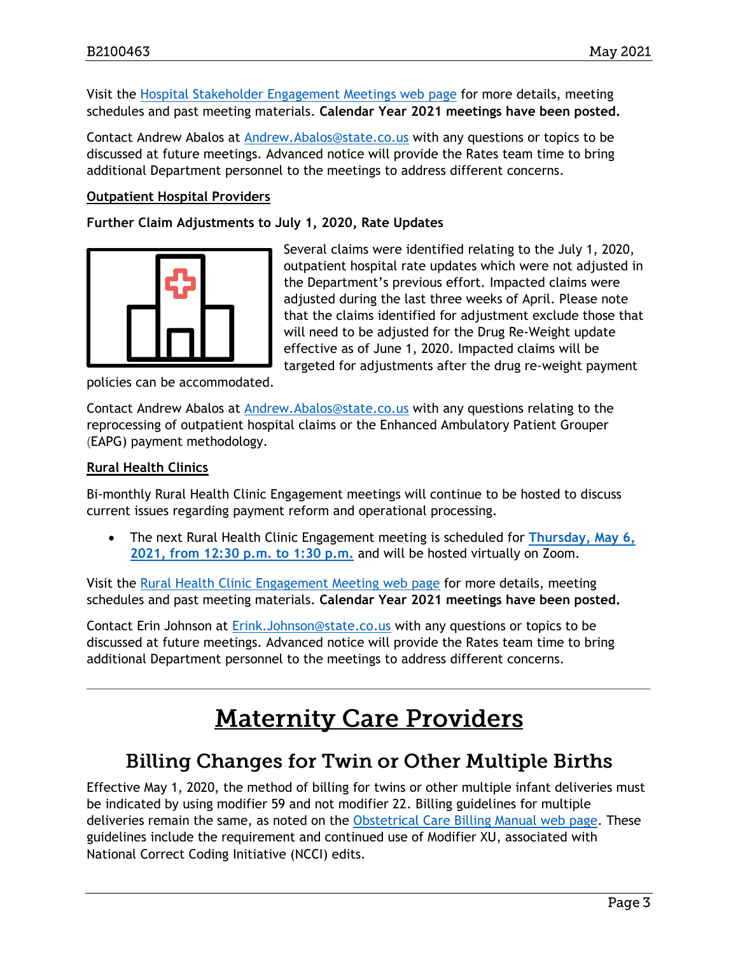Visit the [Hospital Stakeholder Engagement Meetings web](https://hcpf.colorado.gov/hospital-stakeholder-engagement-meetings) page for more details, meeting schedules and past meeting materials. **Calendar Year 2021 meetings have been posted.**

Contact Andrew Abalos at [Andrew.Abalos@state.co.us](mailto:Andrew.Abalos@state.co.us) with any questions or topics to be discussed at future meetings. Advanced notice will provide the Rates team time to bring additional Department personnel to the meetings to address different concerns.

#### **Outpatient Hospital Providers**

**Further Claim Adjustments to July 1, 2020, Rate Updates** 



Several claims were identified relating to the July 1, 2020, outpatient hospital rate updates which were not adjusted in the Department's previous effort. Impacted claims were adjusted during the last three weeks of April. Please note that the claims identified for adjustment exclude those that will need to be adjusted for the Drug Re-Weight update effective as of June 1, 2020. Impacted claims will be targeted for adjustments after the drug re-weight payment

policies can be accommodated.

Contact Andrew Abalos at [Andrew.Abalos@state.co.us](mailto:Andrew.Abalos@state.co.us) with any questions relating to the reprocessing of outpatient hospital claims or the Enhanced Ambulatory Patient Grouper (EAPG) payment methodology.

#### **Rural Health Clinics**

Bi-monthly Rural Health Clinic Engagement meetings will continue to be hosted to discuss current issues regarding payment reform and operational processing.

• The next Rural Health Clinic Engagement meeting is scheduled for **[Thursday, May 6,](https://hcpf.colorado.gov/rural-hospital-and-rural-health-clinics)  [2021, from 12:30 p.m. to 1:30 p.m.](https://hcpf.colorado.gov/rural-hospital-and-rural-health-clinics)** and will be hosted virtually on Zoom.

Visit the [Rural Health Clinic Engagement Meeting](https://hcpf.colorado.gov/rural-hospital-and-rural-health-clinics) web page for more details, meeting schedules and past meeting materials. **Calendar Year 2021 meetings have been posted.**

Contact Erin Johnson at [Erink.Johnson@state.co.us](mailto:Erink.Johnson@state.co.us) with any questions or topics to be discussed at future meetings. Advanced notice will provide the Rates team time to bring additional Department personnel to the meetings to address different concerns.

## **Maternity Care Providers**

### **Billing Changes for Twin or Other Multiple Births**

Effective May 1, 2020, the method of billing for twins or other multiple infant deliveries must be indicated by using modifier 59 and not modifier 22. Billing guidelines for multiple deliveries remain the same, as noted on the [Obstetrical Care Billing Manual web page.](https://hcpf.colorado.gov/OB-manual) These guidelines include the requirement and continued use of Modifier XU, associated with National Correct Coding Initiative (NCCI) edits.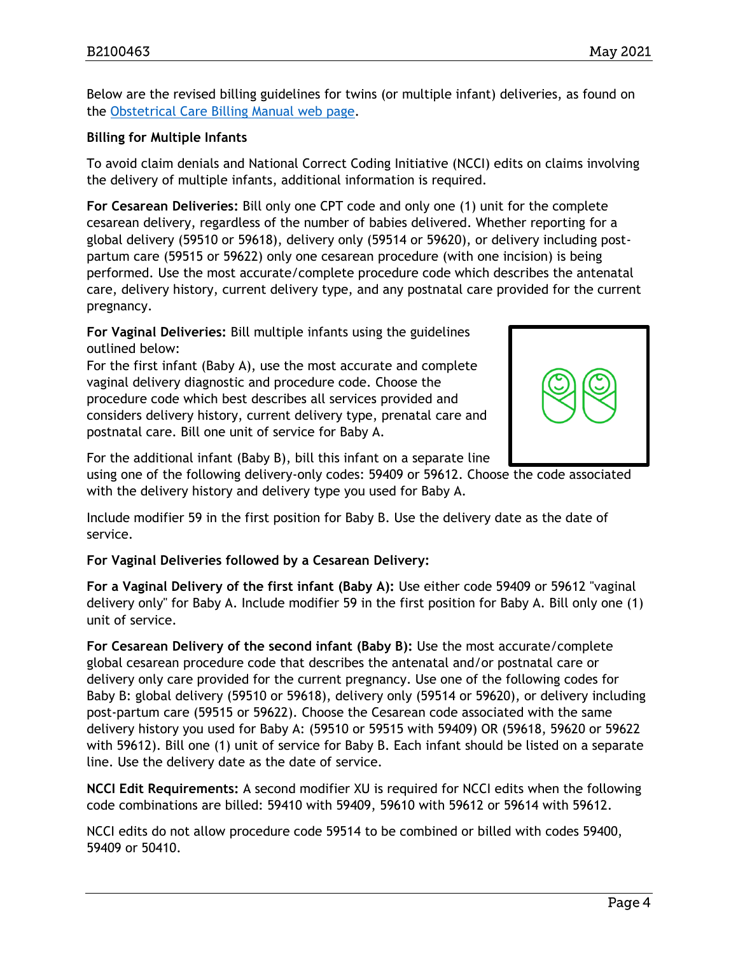Below are the revised billing guidelines for twins (or multiple infant) deliveries, as found on the [Obstetrical Care Billing Manual web](https://hcpf.colorado.gov/OB-manual) page.

#### **Billing for Multiple Infants**

To avoid claim denials and National Correct Coding Initiative (NCCI) edits on claims involving the delivery of multiple infants, additional information is required.

**For Cesarean Deliveries:** Bill only one CPT code and only one (1) unit for the complete cesarean delivery, regardless of the number of babies delivered. Whether reporting for a global delivery (59510 or 59618), delivery only (59514 or 59620), or delivery including postpartum care (59515 or 59622) only one cesarean procedure (with one incision) is being performed. Use the most accurate/complete procedure code which describes the antenatal care, delivery history, current delivery type, and any postnatal care provided for the current pregnancy.

**For Vaginal Deliveries:** Bill multiple infants using the guidelines outlined below:

For the first infant (Baby A), use the most accurate and complete vaginal delivery diagnostic and procedure code. Choose the procedure code which best describes all services provided and considers delivery history, current delivery type, prenatal care and postnatal care. Bill one unit of service for Baby A.



For the additional infant (Baby B), bill this infant on a separate line

using one of the following delivery-only codes: 59409 or 59612. Choose the code associated with the delivery history and delivery type you used for Baby A.

Include modifier 59 in the first position for Baby B. Use the delivery date as the date of service.

**For Vaginal Deliveries followed by a Cesarean Delivery:**

**For a Vaginal Delivery of the first infant (Baby A):** Use either code 59409 or 59612 "vaginal delivery only" for Baby A. Include modifier 59 in the first position for Baby A. Bill only one (1) unit of service.

**For Cesarean Delivery of the second infant (Baby B):** Use the most accurate/complete global cesarean procedure code that describes the antenatal and/or postnatal care or delivery only care provided for the current pregnancy. Use one of the following codes for Baby B: global delivery (59510 or 59618), delivery only (59514 or 59620), or delivery including post-partum care (59515 or 59622). Choose the Cesarean code associated with the same delivery history you used for Baby A: (59510 or 59515 with 59409) OR (59618, 59620 or 59622 with 59612). Bill one (1) unit of service for Baby B. Each infant should be listed on a separate line. Use the delivery date as the date of service.

**NCCI Edit Requirements:** A second modifier XU is required for NCCI edits when the following code combinations are billed: 59410 with 59409, 59610 with 59612 or 59614 with 59612.

NCCI edits do not allow procedure code 59514 to be combined or billed with codes 59400, 59409 or 50410.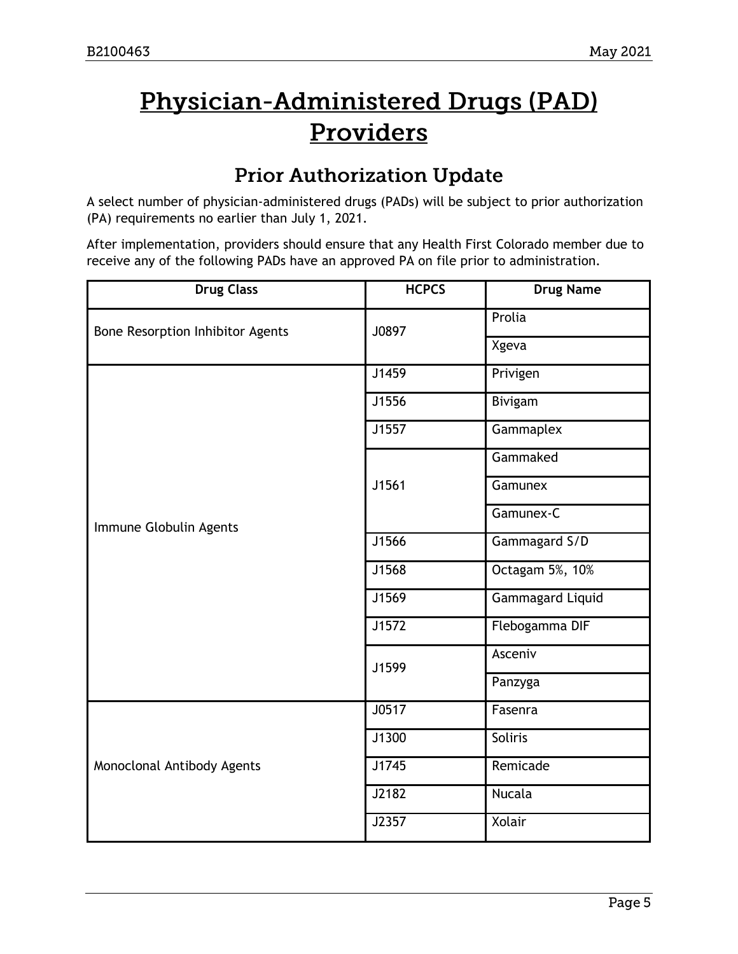# Physician-Administered Drugs (PAD) Providers

## **Prior Authorization Update**

A select number of physician-administered drugs (PADs) will be subject to prior authorization (PA) requirements no earlier than July 1, 2021.

After implementation, providers should ensure that any Health First Colorado member due to receive any of the following PADs have an approved PA on file prior to administration.

| <b>Drug Class</b>                | <b>HCPCS</b> | <b>Drug Name</b>        |  |
|----------------------------------|--------------|-------------------------|--|
| Bone Resorption Inhibitor Agents | J0897        | Prolia                  |  |
|                                  |              | Xgeva                   |  |
|                                  | J1459        | Privigen                |  |
|                                  | J1556        | Bivigam                 |  |
|                                  | J1557        | Gammaplex               |  |
|                                  |              | Gammaked                |  |
|                                  | J1561        | Gamunex                 |  |
| Immune Globulin Agents           |              | Gamunex-C               |  |
|                                  | J1566        | Gammagard S/D           |  |
|                                  | J1568        | Octagam 5%, 10%         |  |
|                                  | J1569        | <b>Gammagard Liquid</b> |  |
|                                  | J1572        | Flebogamma DIF          |  |
|                                  | J1599        | Asceniv                 |  |
|                                  |              | Panzyga                 |  |
|                                  | J0517        | Fasenra                 |  |
|                                  | J1300        | Soliris                 |  |
| Monoclonal Antibody Agents       | J1745        | Remicade                |  |
|                                  | J2182        | <b>Nucala</b>           |  |
|                                  | J2357        | Xolair                  |  |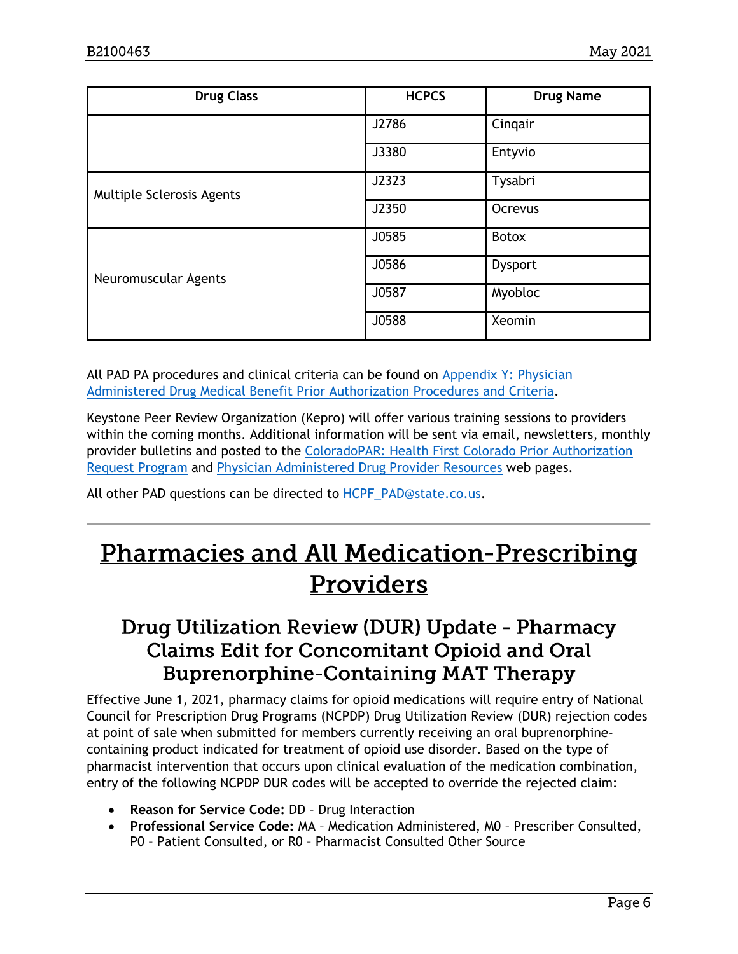| <b>Drug Class</b>         | <b>HCPCS</b> | <b>Drug Name</b> |
|---------------------------|--------------|------------------|
|                           | J2786        | Cingair          |
|                           | J3380        | Entyvio          |
| Multiple Sclerosis Agents | J2323        | Tysabri          |
|                           | J2350        | Ocrevus          |
|                           | J0585        | Botox            |
| Neuromuscular Agents      | J0586        | <b>Dysport</b>   |
|                           | J0587        | Myobloc          |
|                           | J0588        | Xeomin           |

All PAD PA procedures and clinical criteria can be found on [Appendix Y: Physician](https://hcpf.colorado.gov/billing-manuals#appendices)  [Administered Drug Medical Benefit Prior Authorization Procedures and Criteria.](https://hcpf.colorado.gov/billing-manuals#appendices)

Keystone Peer Review Organization (Kepro) will offer various training sessions to providers within the coming months. Additional information will be sent via email, newsletters, monthly provider bulletins and posted to the [ColoradoPAR: Health First Colorado Prior Authorization](https://www.colorado.gov/hcpf/par)  [Request Program](https://www.colorado.gov/hcpf/par) and [Physician Administered Drug Provider Resources](https://www.colorado.gov/pacific/hcpf/physician-administered-drugs) web pages.

All other PAD questions can be directed to **HCPF\_PAD@state.co.us.** 

## **Pharmacies and All Medication-Prescribing** Providers

## Drug Utilization Review (DUR) Update - Pharmacy **Claims Edit for Concomitant Opioid and Oral Buprenorphine-Containing MAT Therapy**

Effective June 1, 2021, pharmacy claims for opioid medications will require entry of National Council for Prescription Drug Programs (NCPDP) Drug Utilization Review (DUR) rejection codes at point of sale when submitted for members currently receiving an oral buprenorphinecontaining product indicated for treatment of opioid use disorder. Based on the type of pharmacist intervention that occurs upon clinical evaluation of the medication combination, entry of the following NCPDP DUR codes will be accepted to override the rejected claim:

- **Reason for Service Code:** DD Drug Interaction
- **Professional Service Code:** MA Medication Administered, M0 Prescriber Consulted, P0 – Patient Consulted, or R0 – Pharmacist Consulted Other Source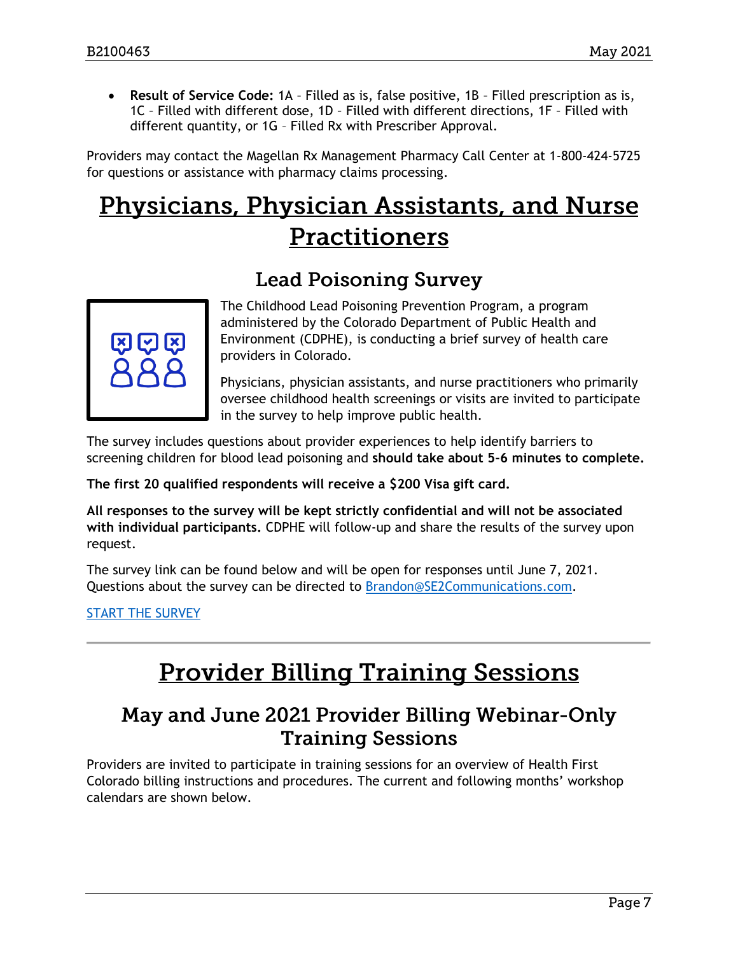• **Result of Service Code:** 1A – Filled as is, false positive, 1B – Filled prescription as is, 1C – Filled with different dose, 1D – Filled with different directions, 1F – Filled with different quantity, or 1G – Filled Rx with Prescriber Approval.

Providers may contact the Magellan Rx Management Pharmacy Call Center at 1-800-424-5725 for questions or assistance with pharmacy claims processing.

# **Physicians, Physician Assistants, and Nurse Practitioners**

## **Lead Poisoning Survey**



The Childhood Lead Poisoning Prevention Program, a program administered by the Colorado Department of Public Health and Environment (CDPHE), is conducting a brief survey of health care providers in Colorado.

Physicians, physician assistants, and nurse practitioners who primarily oversee childhood health screenings or visits are invited to participate in the survey to help improve public health.

The survey includes questions about provider experiences to help identify barriers to screening children for blood lead poisoning and **should take about 5-6 minutes to complete.**

**The first 20 qualified respondents will receive a \$200 Visa gift card.**

**All responses to the survey will be kept strictly confidential and will not be associated with individual participants.** CDPHE will follow-up and share the results of the survey upon request.

The survey link can be found below and will be open for responses until June 7, 2021. Questions about the survey can be directed to [Brandon@SE2Communications.com.](mailto:Brandon@SE2Communications.com)

[START THE SURVEY](https://www.surveymonkey.com/r/FWXYSPW)

# **Provider Billing Training Sessions**

## May and June 2021 Provider Billing Webinar-Only **Training Sessions**

Providers are invited to participate in training sessions for an overview of Health First Colorado billing instructions and procedures. The current and following months' workshop calendars are shown below.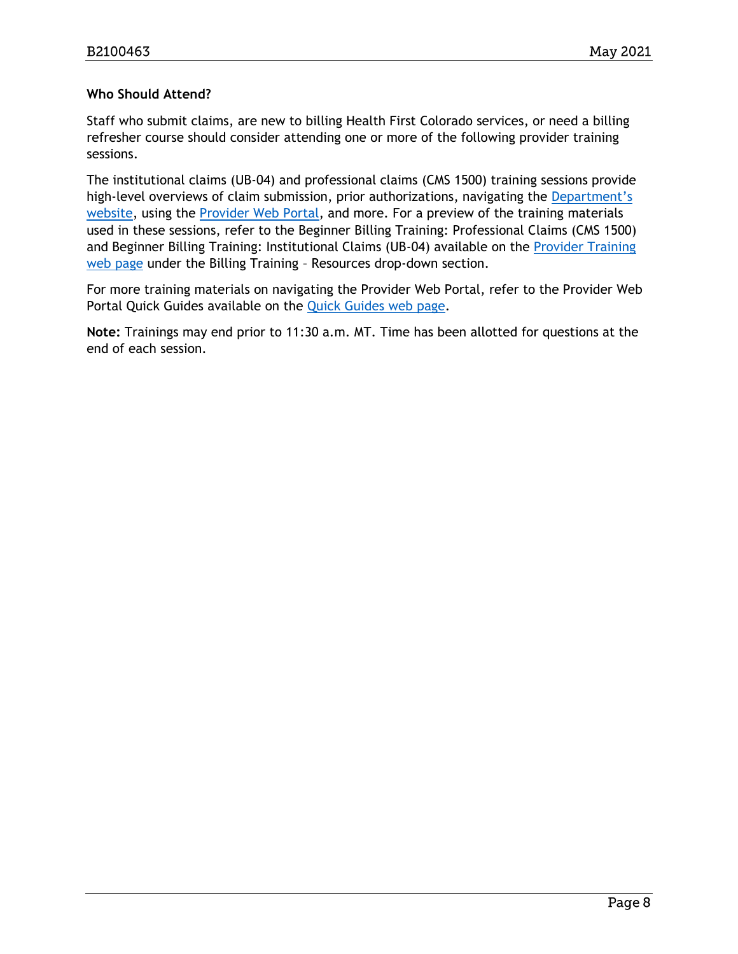#### **Who Should Attend?**

Staff who submit claims, are new to billing Health First Colorado services, or need a billing refresher course should consider attending one or more of the following provider training sessions.

The institutional claims (UB-04) and professional claims (CMS 1500) training sessions provide high-level overviews of claim submission, prior authorizations, navigating the Department's [website,](https://www.colorado.gov/hcpf/) using the [Provider Web Portal,](https://colorado-hcp-portal.xco.dcs-usps.com/hcp/provider/Home/tabid/135/Default.aspx) and more. For a preview of the training materials used in these sessions, refer to the Beginner Billing Training: Professional Claims (CMS 1500) and Beginner Billing Training: Institutional Claims (UB-04) available on the [Provider Training](https://www.colorado.gov/pacific/hcpf/provider-training)  [web page](https://www.colorado.gov/pacific/hcpf/provider-training) under the Billing Training – Resources drop-down section.

For more training materials on navigating the Provider Web Portal, refer to the Provider Web Portal Quick Guides available on the [Quick Guides web page.](https://www.colorado.gov/hcpf/interchange-resources)

**Note:** Trainings may end prior to 11:30 a.m. MT. Time has been allotted for questions at the end of each session.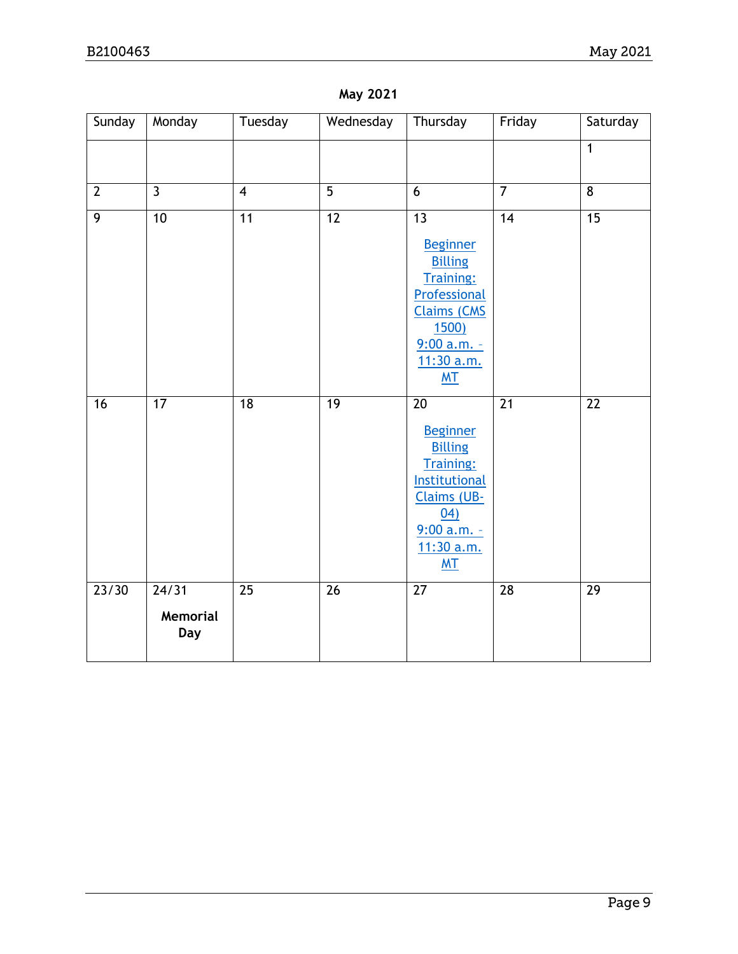| Sunday          | Monday          | Tuesday         | Wednesday       | Thursday                            | Friday          | Saturday        |
|-----------------|-----------------|-----------------|-----------------|-------------------------------------|-----------------|-----------------|
|                 |                 |                 |                 |                                     |                 | $\mathbf{1}$    |
|                 |                 |                 |                 |                                     |                 |                 |
| $\overline{2}$  | $\overline{3}$  | $\overline{4}$  | $\overline{5}$  | 6                                   | $\overline{7}$  | 8               |
| $\overline{9}$  | 10              | $\overline{11}$ | $\overline{12}$ | $\overline{13}$                     | $\overline{14}$ | $\overline{15}$ |
|                 |                 |                 |                 | <b>Beginner</b>                     |                 |                 |
|                 |                 |                 |                 | <b>Billing</b><br><b>Training:</b>  |                 |                 |
|                 |                 |                 |                 | Professional                        |                 |                 |
|                 |                 |                 |                 | <b>Claims (CMS</b><br><u>1500)</u>  |                 |                 |
|                 |                 |                 |                 | $9:00 a.m. -$                       |                 |                 |
|                 |                 |                 |                 | 11:30 a.m.<br><b>MT</b>             |                 |                 |
|                 |                 |                 |                 |                                     |                 |                 |
| $\overline{16}$ | $\overline{17}$ | $\overline{18}$ | 19              | $\overline{20}$                     | $\overline{21}$ | $\overline{22}$ |
|                 |                 |                 |                 | <b>Beginner</b><br><b>Billing</b>   |                 |                 |
|                 |                 |                 |                 | <b>Training:</b>                    |                 |                 |
|                 |                 |                 |                 | Institutional<br><b>Claims (UB-</b> |                 |                 |
|                 |                 |                 |                 | (04)                                |                 |                 |
|                 |                 |                 |                 | 9:00 a.m. -                         |                 |                 |
|                 |                 |                 |                 | 11:30 a.m.<br>M <sub>T</sub>        |                 |                 |
| 23/30           | $\frac{24}{31}$ | $\overline{25}$ | $\overline{26}$ | $\overline{27}$                     | $\overline{28}$ | $\overline{29}$ |
|                 | <b>Memorial</b> |                 |                 |                                     |                 |                 |
|                 | <b>Day</b>      |                 |                 |                                     |                 |                 |
|                 |                 |                 |                 |                                     |                 |                 |

### **May 2021**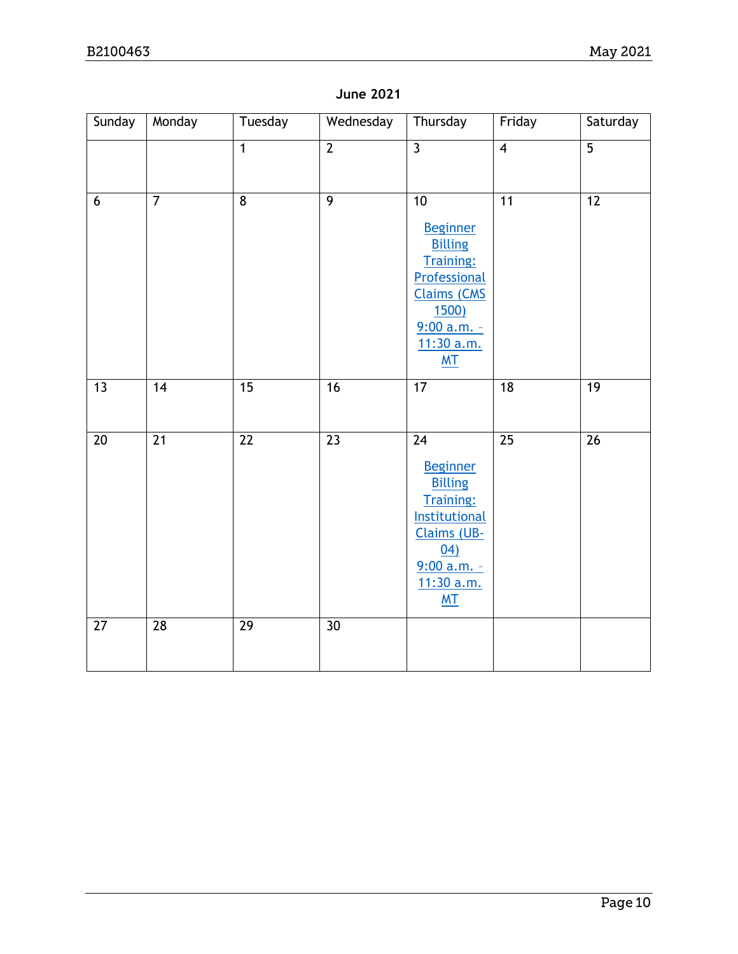### **June 2021**

| Sunday          | Monday          | Tuesday         | Wednesday       | Thursday                                                                                                                                                                       | Friday          | Saturday        |
|-----------------|-----------------|-----------------|-----------------|--------------------------------------------------------------------------------------------------------------------------------------------------------------------------------|-----------------|-----------------|
|                 |                 | $\overline{1}$  | $\overline{2}$  | $\overline{3}$                                                                                                                                                                 | $\overline{4}$  | $\overline{5}$  |
| 6               | $\overline{7}$  | $\overline{8}$  | $\overline{9}$  | $\overline{10}$<br><b>Beginner</b><br><b>Billing</b><br><b>Training:</b><br>Professional<br><b>Claims (CMS</b><br><b>1500</b><br>$9:00 a.m. -$<br>11:30 a.m.<br>M <sub>T</sub> | $\overline{11}$ | $\overline{12}$ |
| 13              | 14              | 15              | 16              | 17                                                                                                                                                                             | 18              | 19              |
| $\overline{20}$ | $\overline{21}$ | $\overline{22}$ | $\overline{23}$ | $\overline{24}$<br><b>Beginner</b><br><b>Billing</b><br><b>Training:</b><br>Institutional<br>Claims (UB-<br>(04)<br>$9:00 a.m. -$<br>11:30 a.m.<br>MT                          | $\overline{25}$ | $\overline{26}$ |
| 27              | 28              | 29              | 30              |                                                                                                                                                                                |                 |                 |